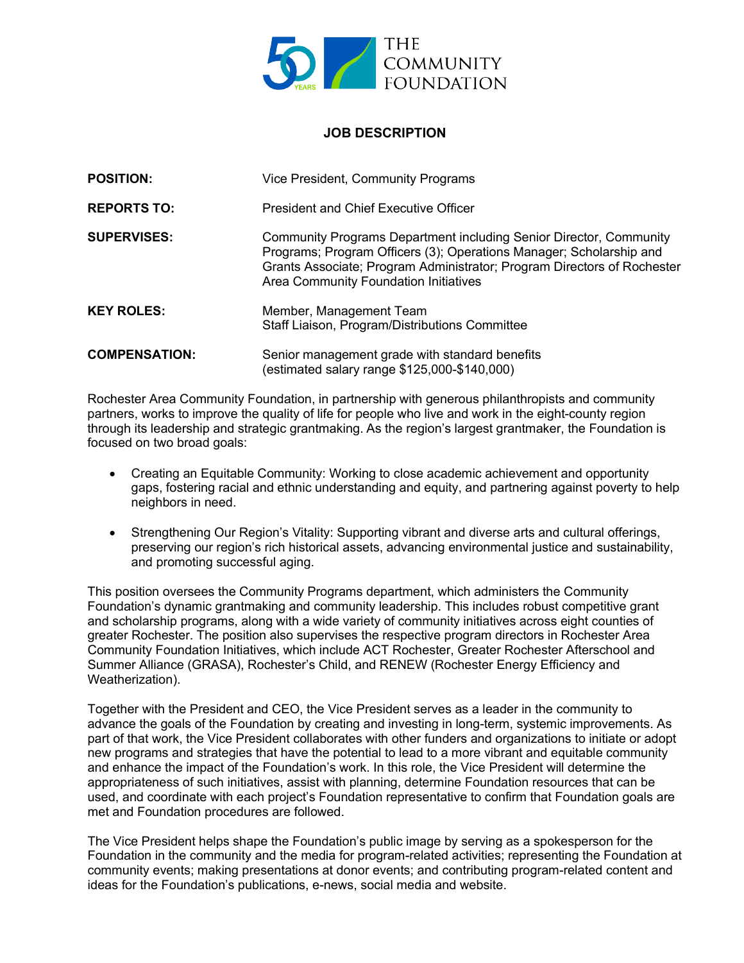

## **JOB DESCRIPTION**

| <b>POSITION:</b>     | Vice President, Community Programs                                                                                                                                                                                                                            |
|----------------------|---------------------------------------------------------------------------------------------------------------------------------------------------------------------------------------------------------------------------------------------------------------|
| <b>REPORTS TO:</b>   | <b>President and Chief Executive Officer</b>                                                                                                                                                                                                                  |
| <b>SUPERVISES:</b>   | Community Programs Department including Senior Director, Community<br>Programs; Program Officers (3); Operations Manager; Scholarship and<br>Grants Associate; Program Administrator; Program Directors of Rochester<br>Area Community Foundation Initiatives |
| <b>KEY ROLES:</b>    | Member, Management Team<br>Staff Liaison, Program/Distributions Committee                                                                                                                                                                                     |
| <b>COMPENSATION:</b> | Senior management grade with standard benefits<br>(estimated salary range \$125,000-\$140,000)                                                                                                                                                                |

Rochester Area Community Foundation, in partnership with generous philanthropists and community partners, works to improve the quality of life for people who live and work in the eight-county region through its leadership and strategic grantmaking. As the region's largest grantmaker, the Foundation is focused on two broad goals:

- Creating an Equitable Community: Working to close academic achievement and opportunity gaps, fostering racial and ethnic understanding and equity, and partnering against poverty to help neighbors in need.
- Strengthening Our Region's Vitality: Supporting vibrant and diverse arts and cultural offerings, preserving our region's rich historical assets, advancing environmental justice and sustainability, and promoting successful aging.

This position oversees the Community Programs department, which administers the Community Foundation's dynamic grantmaking and community leadership. This includes robust competitive grant and scholarship programs, along with a wide variety of community initiatives across eight counties of greater Rochester. The position also supervises the respective program directors in Rochester Area Community Foundation Initiatives, which include ACT Rochester, Greater Rochester Afterschool and Summer Alliance (GRASA), Rochester's Child, and RENEW (Rochester Energy Efficiency and Weatherization).

Together with the President and CEO, the Vice President serves as a leader in the community to advance the goals of the Foundation by creating and investing in long-term, systemic improvements. As part of that work, the Vice President collaborates with other funders and organizations to initiate or adopt new programs and strategies that have the potential to lead to a more vibrant and equitable community and enhance the impact of the Foundation's work. In this role, the Vice President will determine the appropriateness of such initiatives, assist with planning, determine Foundation resources that can be used, and coordinate with each project's Foundation representative to confirm that Foundation goals are met and Foundation procedures are followed.

The Vice President helps shape the Foundation's public image by serving as a spokesperson for the Foundation in the community and the media for program-related activities; representing the Foundation at community events; making presentations at donor events; and contributing program-related content and ideas for the Foundation's publications, e-news, social media and website.